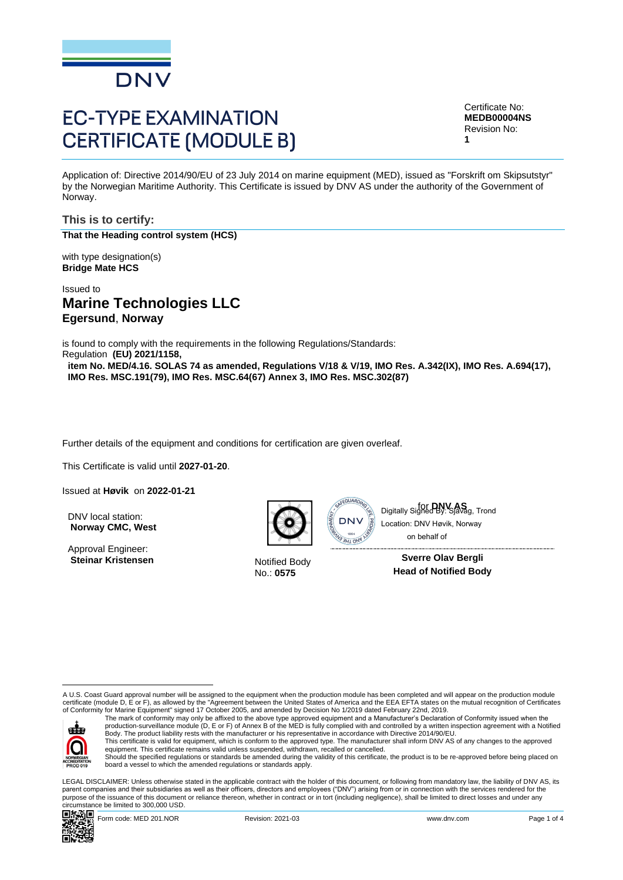

# **EC-TYPE EXAMINATION CERTIFICATE (MODULE B)**

Certificate No: **MEDB00004NS** Revision No: **1**

Application of: Directive 2014/90/EU of 23 July 2014 on marine equipment (MED), issued as "Forskrift om Skipsutstyr" by the Norwegian Maritime Authority. This Certificate is issued by DNV AS under the authority of the Government of Norway.

**This is to certify: That the Heading control system (HCS)**

with type designation(s) **Bridge Mate HCS**

Issued to **Marine Technologies LLC Egersund**, **Norway**

is found to comply with the requirements in the following Regulations/Standards: Regulation **(EU) 2021/1158,** 

**item No. MED/4.16. SOLAS 74 as amended, Regulations V/18 & V/19, IMO Res. A.342(IX), IMO Res. A.694(17), IMO Res. MSC.191(79), IMO Res. MSC.64(67) Annex 3, IMO Res. MSC.302(87)**

Further details of the equipment and conditions for certification are given overleaf.

This Certificate is valid until **2027-01-20**.

Issued at **Høvik** on **2022-01-21**

DNV local station: **Norway CMC, West**

Approval Engineer: **Steinar Kristensen** Notified Body



No.: **0575**

Digitally Signed BV Savag, Trond Location: DNV Høvik, Norway on behalf of

> **Sverre Olav Bergli Head of Notified Body**

A U.S. Coast Guard approval number will be assigned to the equipment when the production module has been completed and will appear on the production module certificate (module D, E or F), as allowed by the "Agreement between the United States of America and the EEA EFTA states on the mutual recognition of Certificates<br>of Conformity for Marine Equipment" signed 17 October 2005



The mark of conformity may only be affixed to the above type approved equipment and a Manufacturer's Declaration of Conformity issued when the<br>production-surveillance module (D, E or F) of Annex B of the MED is fully compl Body. The product liability rests with the manufacturer or his representative in accordance with Directive 2014/90/EU.

This certificate is valid for equipment, which is conform to the approved type. The manufacturer shall inform DNV AS of any changes to the approved<br>equipment. This certificate remains valid unless suspended, withdrawn, rec Should the specified regulations or standards be amended during the validity of this certificate, the product is to be re-approved before being placed on

board a vessel to which the amended regulations or standards apply.

LEGAL DISCLAIMER: Unless otherwise stated in the applicable contract with the holder of this document, or following from mandatory law, the liability of DNV AS, its parent companies and their subsidiaries as well as their officers, directors and employees ("DNV") arising from or in connection with the services rendered for the purpose of the issuance of this document or reliance thereon, whether in contract or in tort (including negligence), shall be limited to direct losses and under any circumstance be limited to 300,000 USD. Collect a the matter of Correlation:<br>
Matter and the state of the state be limited to 300,000 USD. The state behind the state be limited to 300,000 USD. The state of the state be limited by: System Channel By: System Chann

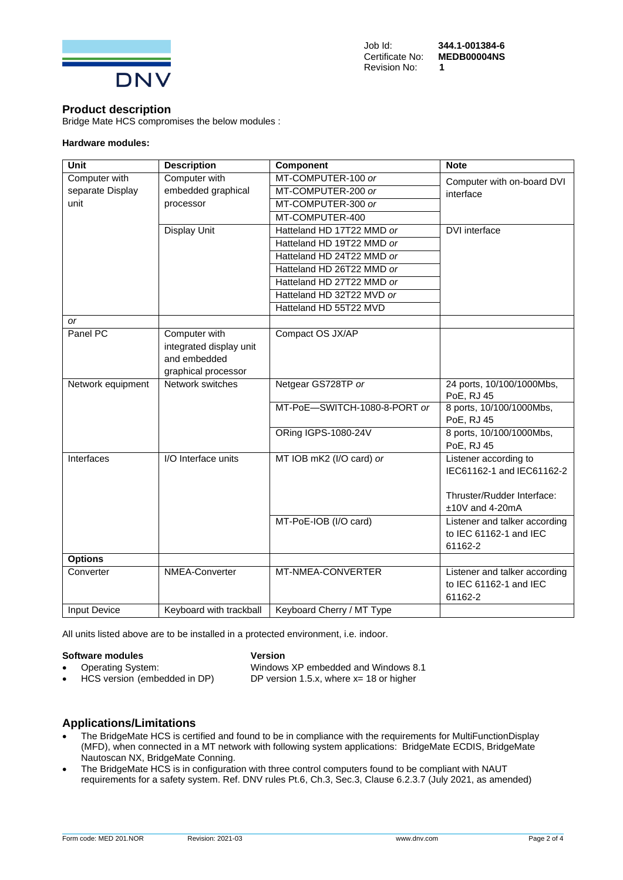

#### **Product description**

Bridge Mate HCS compromises the below modules :

#### **Hardware modules:**

| <b>Unit</b>         | <b>Description</b>      | Component                    | <b>Note</b>                                                        |
|---------------------|-------------------------|------------------------------|--------------------------------------------------------------------|
| Computer with       | Computer with           | MT-COMPUTER-100 or           | Computer with on-board DVI                                         |
| separate Display    | embedded graphical      | MT-COMPUTER-200 or           | interface                                                          |
| unit                | processor               | MT-COMPUTER-300 or           |                                                                    |
|                     |                         | MT-COMPUTER-400              |                                                                    |
|                     | <b>Display Unit</b>     | Hatteland HD 17T22 MMD or    | DVI interface                                                      |
|                     |                         | Hatteland HD 19T22 MMD or    |                                                                    |
|                     |                         | Hatteland HD 24T22 MMD or    |                                                                    |
|                     |                         | Hatteland HD 26T22 MMD or    |                                                                    |
|                     |                         | Hatteland HD 27T22 MMD or    |                                                                    |
|                     |                         | Hatteland HD 32T22 MVD or    |                                                                    |
|                     |                         | Hatteland HD 55T22 MVD       |                                                                    |
| <b>or</b>           |                         |                              |                                                                    |
| Panel PC            | Computer with           | Compact OS JX/AP             |                                                                    |
|                     | integrated display unit |                              |                                                                    |
|                     | and embedded            |                              |                                                                    |
|                     | graphical processor     |                              |                                                                    |
| Network equipment   | Network switches        | Netgear GS728TP or           | 24 ports, 10/100/1000Mbs,<br>PoE, RJ 45                            |
|                     |                         | MT-PoE-SWITCH-1080-8-PORT or | 8 ports, 10/100/1000Mbs,<br>PoE, RJ 45                             |
|                     |                         | ORing IGPS-1080-24V          | 8 ports, 10/100/1000Mbs,<br>PoE, RJ 45                             |
| Interfaces          | I/O Interface units     | MT IOB mK2 (I/O card) or     | Listener according to                                              |
|                     |                         |                              | IEC61162-1 and IEC61162-2                                          |
|                     |                         |                              | Thruster/Rudder Interface:                                         |
|                     |                         |                              | ±10V and 4-20mA                                                    |
|                     |                         | MT-PoE-IOB (I/O card)        | Listener and talker according<br>to IEC 61162-1 and IEC<br>61162-2 |
| <b>Options</b>      |                         |                              |                                                                    |
| Converter           | NMEA-Converter          | MT-NMEA-CONVERTER            | Listener and talker according<br>to IEC 61162-1 and IEC<br>61162-2 |
| <b>Input Device</b> | Keyboard with trackball | Keyboard Cherry / MT Type    |                                                                    |

All units listed above are to be installed in a protected environment, i.e. indoor.

#### **Software modules Version**

• HCS version (embedded in DP) DP version 1.5.x, where x= 18 or higher

• Operating System: Windows XP embedded and Windows 8.1

## **Applications/Limitations**

- The BridgeMate HCS is certified and found to be in compliance with the requirements for MultiFunctionDisplay (MFD), when connected in a MT network with following system applications: BridgeMate ECDIS, BridgeMate Nautoscan NX, BridgeMate Conning.
- The BridgeMate HCS is in configuration with three control computers found to be compliant with NAUT requirements for a safety system. Ref. DNV rules Pt.6, Ch.3, Sec.3, Clause 6.2.3.7 (July 2021, as amended)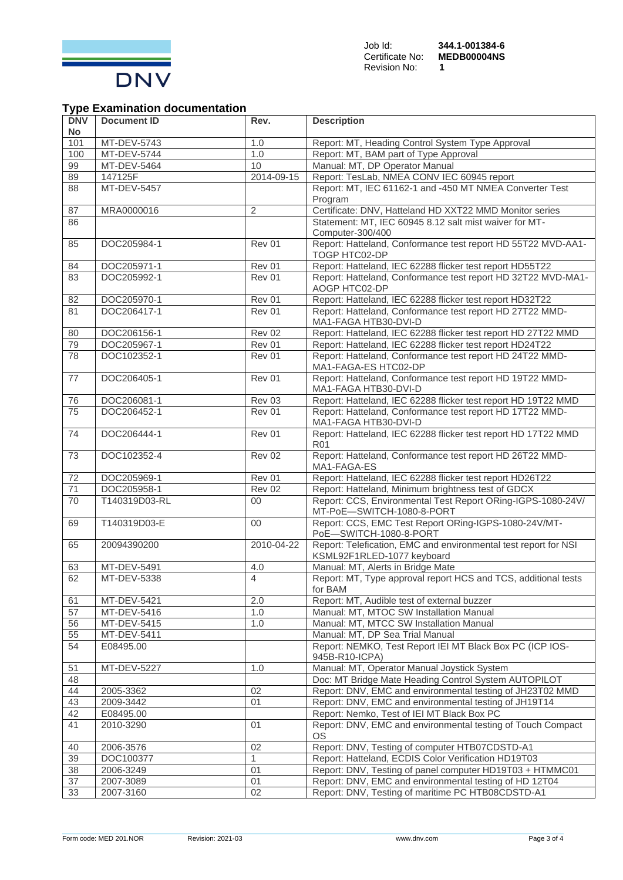

# **Type Examination documentation**

| <b>DNV</b><br>No | <b>Document ID</b>     | Rev.           | <b>Description</b>                                                                                        |
|------------------|------------------------|----------------|-----------------------------------------------------------------------------------------------------------|
| 101              | MT-DEV-5743            | 1.0            | Report: MT, Heading Control System Type Approval                                                          |
| 100              | MT-DEV-5744            | 1.0            | Report: MT, BAM part of Type Approval                                                                     |
| 99               | MT-DEV-5464            | 10             | Manual: MT, DP Operator Manual                                                                            |
| 89               | 147125F                | 2014-09-15     | Report: TesLab, NMEA CONV IEC 60945 report                                                                |
| 88               | MT-DEV-5457            |                | Report: MT, IEC 61162-1 and -450 MT NMEA Converter Test<br>Program                                        |
| 87               | MRA0000016             | $\overline{2}$ | Certificate: DNV, Hatteland HD XXT22 MMD Monitor series                                                   |
| 86               |                        |                | Statement: MT, IEC 60945 8.12 salt mist waiver for MT-<br>Computer-300/400                                |
| 85               | DOC205984-1            | Rev 01         | Report: Hatteland, Conformance test report HD 55T22 MVD-AA1-<br>TOGP HTC02-DP                             |
| 84               | DOC205971-1            | Rev 01         | Report: Hatteland, IEC 62288 flicker test report HD55T22                                                  |
| 83               | DOC205992-1            | Rev 01         | Report: Hatteland, Conformance test report HD 32T22 MVD-MA1-<br>AOGP HTC02-DP                             |
| 82               | DOC205970-1            | Rev 01         | Report: Hatteland, IEC 62288 flicker test report HD32T22                                                  |
| 81               | DOC206417-1            | Rev 01         | Report: Hatteland, Conformance test report HD 27T22 MMD-<br>MA1-FAGA HTB30-DVI-D                          |
| 80               | DOC206156-1            | Rev 02         | Report: Hatteland, IEC 62288 flicker test report HD 27T22 MMD                                             |
| 79               | DOC205967-1            | Rev 01         | Report: Hatteland, IEC 62288 flicker test report HD24T22                                                  |
| 78               | DOC102352-1            | Rev 01         | Report: Hatteland, Conformance test report HD 24T22 MMD-<br>MA1-FAGA-ES HTC02-DP                          |
| 77               | DOC206405-1            | Rev 01         | Report: Hatteland, Conformance test report HD 19T22 MMD-<br>MA1-FAGA HTB30-DVI-D                          |
| 76               | DOC206081-1            | Rev 03         | Report: Hatteland, IEC 62288 flicker test report HD 19T22 MMD                                             |
| 75               | DOC206452-1            | Rev 01         | Report: Hatteland, Conformance test report HD 17T22 MMD-<br>MA1-FAGA HTB30-DVI-D                          |
| 74               | DOC206444-1            | Rev 01         | Report: Hatteland, IEC 62288 flicker test report HD 17T22 MMD<br>R01                                      |
| 73               | DOC102352-4            | Rev 02         | Report: Hatteland, Conformance test report HD 26T22 MMD-<br>MA1-FAGA-ES                                   |
| 72               | DOC205969-1            | Rev 01         | Report: Hatteland, IEC 62288 flicker test report HD26T22                                                  |
| $\overline{71}$  | DOC205958-1            | <b>Rev 02</b>  | Report: Hatteland, Minimum brightness test of GDCX                                                        |
| 70               | T140319D03-RL          | $00 \,$        | Report: CCS, Environmental Test Report ORing-IGPS-1080-24V/<br>MT-PoE-SWITCH-1080-8-PORT                  |
| 69               | T140319D03-E           | 00             | Report: CCS, EMC Test Report ORing-IGPS-1080-24V/MT-<br>PoE-SWITCH-1080-8-PORT                            |
| 65               | 20094390200            | 2010-04-22     | Report: Telefication, EMC and environmental test report for NSI<br>KSML92F1RLED-1077 keyboard             |
| 63               | MT-DEV-5491            | 4.0            | Manual: MT, Alerts in Bridge Mate                                                                         |
| 62               | MT-DEV-5338            | $\overline{4}$ | Report: MT, Type approval report HCS and TCS, additional tests<br>for BAM                                 |
| 61               | MT-DEV-5421            | 2.0            | Report: MT, Audible test of external buzzer                                                               |
| 57               | MT-DEV-5416            | 1.0            | Manual: MT, MTOC SW Installation Manual                                                                   |
| 56               | MT-DEV-5415            | 1.0            | Manual: MT, MTCC SW Installation Manual                                                                   |
| 55               | MT-DEV-5411            |                | Manual: MT, DP Sea Trial Manual                                                                           |
| 54               | E08495.00              |                | Report: NEMKO, Test Report IEI MT Black Box PC (ICP IOS-<br>945B-R10-ICPA)                                |
| 51               | MT-DEV-5227            | 1.0            | Manual: MT, Operator Manual Joystick System                                                               |
| 48               |                        |                | Doc: MT Bridge Mate Heading Control System AUTOPILOT                                                      |
| 44               | 2005-3362              | 02             | Report: DNV, EMC and environmental testing of JH23T02 MMD                                                 |
| 43<br>42         | 2009-3442              | 01             | Report: DNV, EMC and environmental testing of JH19T14                                                     |
| 41               | E08495.00<br>2010-3290 | 01             | Report: Nemko, Test of IEI MT Black Box PC<br>Report: DNV, EMC and environmental testing of Touch Compact |
|                  |                        |                | <b>OS</b>                                                                                                 |
| 40<br>39         | 2006-3576<br>DOC100377 | 02<br>1        | Report: DNV, Testing of computer HTB07CDSTD-A1<br>Report: Hatteland, ECDIS Color Verification HD19T03     |
| 38               | 2006-3249              | 01             | Report: DNV, Testing of panel computer HD19T03 + HTMMC01                                                  |
| 37               | 2007-3089              | 01             | Report: DNV, EMC and environmental testing of HD 12T04                                                    |
| 33               | 2007-3160              | 02             | Report: DNV, Testing of maritime PC HTB08CDSTD-A1                                                         |